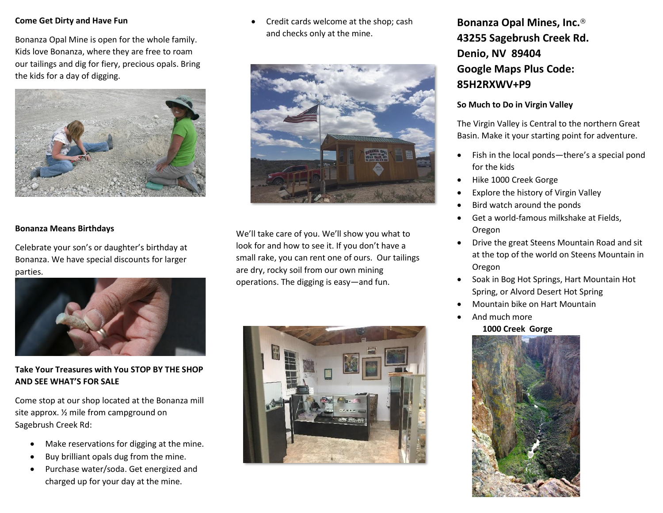#### **Come Get Dirty and Have Fun**

Bonanza Opal Mine is open for the whole family. Kids love Bonanza, where they are free to roam our tailings and dig for fiery, precious opals. Bring the kids for a day of digging.



### **Bonanza Means Birthdays**

Celebrate your son's or daughter's birthday at Bonanza. We have special discounts for larger parties.



### **Take Your Treasures with You STOP BY THE SHOP AND SEE WHAT'S FOR SALE**

Come stop at our shop located at the Bonanza mill site approx. ½ mile from campground on Sagebrush Creek Rd:

- Make reservations for digging at the mine.
- Buy brilliant opals dug from the mine.
- Purchase water/soda. Get energized and charged up for your day at the mine.

• Credit cards welcome at the shop; cash and checks only at the mine.



We'll take care of you. We'll show you what to look for and how to see it. If you don't have a small rake, you can rent one of ours. Our tailings are dry, rocky soil from our own mining operations. The digging is easy—and fun.



## **Bonanza Opal Mines, Inc.**® **43255 Sagebrush Creek Rd. Denio, NV 89404 Google Maps Plus Code: 85H2RXWV+P9**

### **So Much to Do in Virgin Valley**

The Virgin Valley is Central to the northern Great Basin. Make it your starting point for adventure.

- Fish in the local ponds—there's a special pond for the kids
- Hike 1000 Creek Gorge
- Explore the history of Virgin Valley
- Bird watch around the ponds
- Get a world-famous milkshake at Fields, Oregon
- Drive the great Steens Mountain Road and sit at the top of the world on Steens Mountain in Oregon
- Soak in Bog Hot Springs, Hart Mountain Hot Spring, or Alvord Desert Hot Spring
- Mountain bike on Hart Mountain
- And much more

### **1000 Creek Gorge**